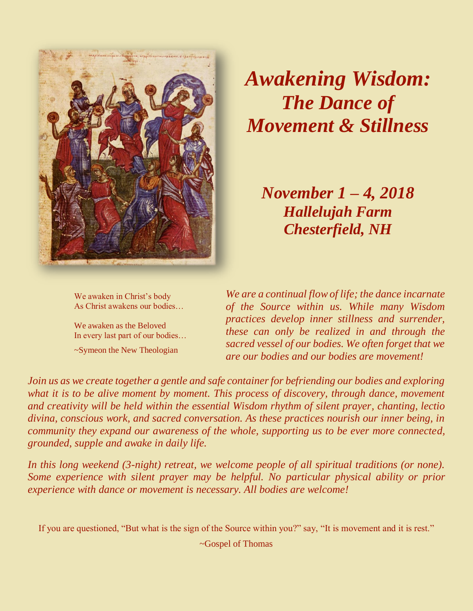

## *Awakening Wisdom: The Dance of Movement & Stillness*

*November 1 – 4, 2018 Hallelujah Farm Chesterfield, NH*

 We awaken in Christ's body As Christ awakens our bodies…

 We awaken as the Beloved In every last part of our bodies… ~Symeon the New Theologian

*We are a continual flow of life; the dance incarnate of the Source within us. While many Wisdom practices develop inner stillness and surrender, these can only be realized in and through the sacred vessel of our bodies. We often forget that we are our bodies and our bodies are movement!*

*Join us as we create together a gentle and safe container for befriending our bodies and exploring what it is to be alive moment by moment. This process of discovery, through dance, movement and creativity will be held within the essential Wisdom rhythm of silent prayer, chanting, lectio divina, conscious work, and sacred conversation. As these practices nourish our inner being, in community they expand our awareness of the whole, supporting us to be ever more connected, grounded, supple and awake in daily life.*

*In this long weekend (3-night) retreat, we welcome people of all spiritual traditions (or none). Some experience with silent prayer may be helpful. No particular physical ability or prior experience with dance or movement is necessary. All bodies are welcome!*

If you are questioned, "But what is the sign of the Source within you?" say, "It is movement and it is rest."

~Gospel of Thomas